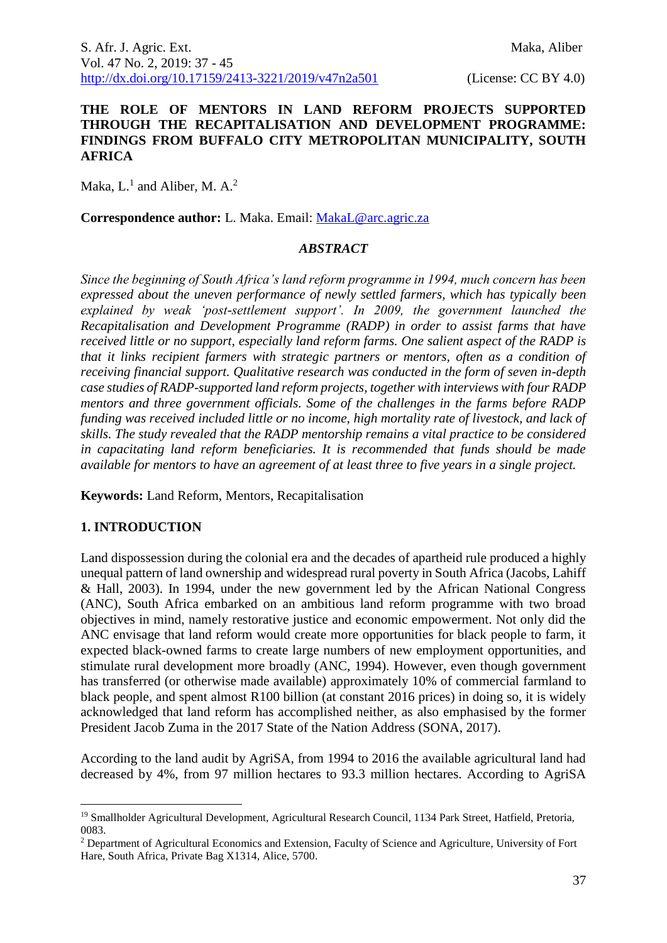#### **THE ROLE OF MENTORS IN LAND REFORM PROJECTS SUPPORTED THROUGH THE RECAPITALISATION AND DEVELOPMENT PROGRAMME: FINDINGS FROM BUFFALO CITY METROPOLITAN MUNICIPALITY, SOUTH AFRICA**

Maka,  $L<sup>1</sup>$  and Aliber, M. A.<sup>2</sup>

**Correspondence author:** L. Maka. Email: [MakaL@arc.agric.za](mailto:MakaL@arc.agric.za)

#### *ABSTRACT*

*Since the beginning of South Africa's land reform programme in 1994, much concern has been expressed about the uneven performance of newly settled farmers, which has typically been explained by weak 'post-settlement support'. In 2009, the government launched the Recapitalisation and Development Programme (RADP) in order to assist farms that have received little or no support, especially land reform farms. One salient aspect of the RADP is that it links recipient farmers with strategic partners or mentors, often as a condition of receiving financial support. Qualitative research was conducted in the form of seven in-depth case studies of RADP-supported land reform projects, together with interviews with four RADP mentors and three government officials. Some of the challenges in the farms before RADP funding was received included little or no income, high mortality rate of livestock, and lack of skills. The study revealed that the RADP mentorship remains a vital practice to be considered in capacitating land reform beneficiaries. It is recommended that funds should be made available for mentors to have an agreement of at least three to five years in a single project.*

**Keywords:** Land Reform, Mentors, Recapitalisation

## **1. INTRODUCTION**

<u>.</u>

Land dispossession during the colonial era and the decades of apartheid rule produced a highly unequal pattern of land ownership and widespread rural poverty in South Africa (Jacobs, Lahiff & Hall, 2003). In 1994, under the new government led by the African National Congress (ANC), South Africa embarked on an ambitious land reform programme with two broad objectives in mind, namely restorative justice and economic empowerment. Not only did the ANC envisage that land reform would create more opportunities for black people to farm, it expected black-owned farms to create large numbers of new employment opportunities, and stimulate rural development more broadly (ANC, 1994). However, even though government has transferred (or otherwise made available) approximately 10% of commercial farmland to black people, and spent almost R100 billion (at constant 2016 prices) in doing so, it is widely acknowledged that land reform has accomplished neither, as also emphasised by the former President Jacob Zuma in the 2017 State of the Nation Address (SONA, 2017).

According to the land audit by AgriSA, from 1994 to 2016 the available agricultural land had decreased by 4%, from 97 million hectares to 93.3 million hectares. According to AgriSA

<sup>&</sup>lt;sup>19</sup> Smallholder Agricultural Development, Agricultural Research Council, 1134 Park Street, Hatfield, Pretoria, 0083.

<sup>2</sup> Department of Agricultural Economics and Extension, Faculty of Science and Agriculture, University of Fort Hare, South Africa, Private Bag X1314, Alice, 5700.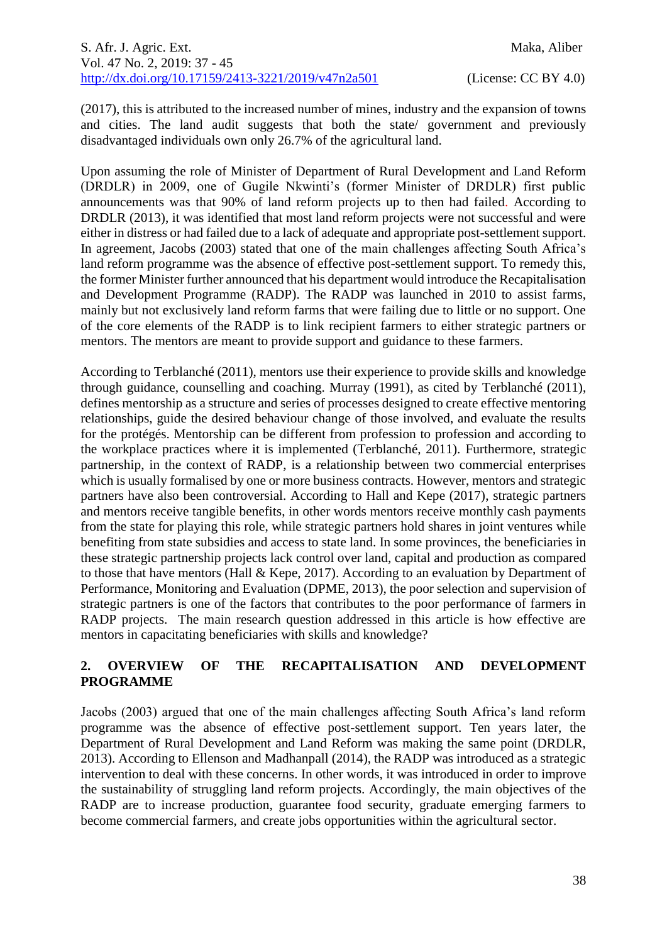(2017), this is attributed to the increased number of mines, industry and the expansion of towns and cities. The land audit suggests that both the state/ government and previously disadvantaged individuals own only 26.7% of the agricultural land.

Upon assuming the role of Minister of Department of Rural Development and Land Reform (DRDLR) in 2009, one of Gugile Nkwinti's (former Minister of DRDLR) first public announcements was that 90% of land reform projects up to then had failed. According to DRDLR (2013), it was identified that most land reform projects were not successful and were either in distress or had failed due to a lack of adequate and appropriate post-settlement support. In agreement, Jacobs (2003) stated that one of the main challenges affecting South Africa's land reform programme was the absence of effective post-settlement support. To remedy this, the former Minister further announced that his department would introduce the Recapitalisation and Development Programme (RADP). The RADP was launched in 2010 to assist farms, mainly but not exclusively land reform farms that were failing due to little or no support. One of the core elements of the RADP is to link recipient farmers to either strategic partners or mentors. The mentors are meant to provide support and guidance to these farmers.

According to Terblanché (2011), mentors use their experience to provide skills and knowledge through guidance, counselling and coaching. Murray (1991), as cited by Terblanché (2011), defines mentorship as a structure and series of processes designed to create effective mentoring relationships, guide the desired behaviour change of those involved, and evaluate the results for the protégés. Mentorship can be different from profession to profession and according to the workplace practices where it is implemented (Terblanché, 2011). Furthermore, strategic partnership, in the context of RADP, is a relationship between two commercial enterprises which is usually formalised by one or more business contracts. However, mentors and strategic partners have also been controversial. According to Hall and Kepe (2017), strategic partners and mentors receive tangible benefits, in other words mentors receive monthly cash payments from the state for playing this role, while strategic partners hold shares in joint ventures while benefiting from state subsidies and access to state land. In some provinces, the beneficiaries in these strategic partnership projects lack control over land, capital and production as compared to those that have mentors (Hall & Kepe, 2017). According to an evaluation by Department of Performance, Monitoring and Evaluation (DPME, 2013), the poor selection and supervision of strategic partners is one of the factors that contributes to the poor performance of farmers in RADP projects. The main research question addressed in this article is how effective are mentors in capacitating beneficiaries with skills and knowledge?

# **2. OVERVIEW OF THE RECAPITALISATION AND DEVELOPMENT PROGRAMME**

Jacobs (2003) argued that one of the main challenges affecting South Africa's land reform programme was the absence of effective post-settlement support. Ten years later, the Department of Rural Development and Land Reform was making the same point (DRDLR, 2013). According to Ellenson and Madhanpall (2014), the RADP was introduced as a strategic intervention to deal with these concerns. In other words, it was introduced in order to improve the sustainability of struggling land reform projects. Accordingly, the main objectives of the RADP are to increase production, guarantee food security, graduate emerging farmers to become commercial farmers, and create jobs opportunities within the agricultural sector.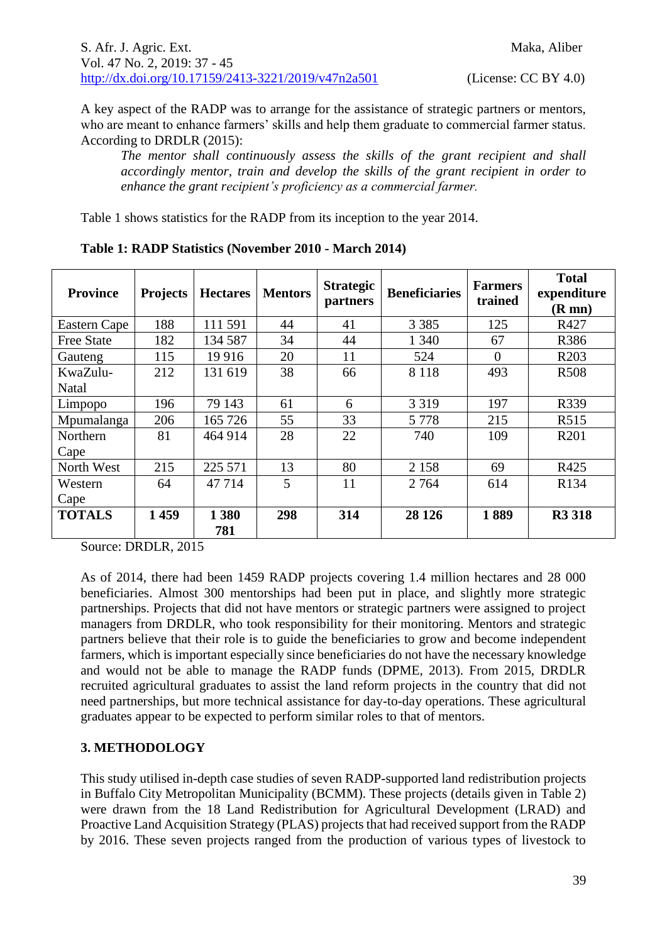A key aspect of the RADP was to arrange for the assistance of strategic partners or mentors, who are meant to enhance farmers' skills and help them graduate to commercial farmer status. According to DRDLR (2015):

*The mentor shall continuously assess the skills of the grant recipient and shall accordingly mentor, train and develop the skills of the grant recipient in order to enhance the grant recipient's proficiency as a commercial farmer.*

Table 1 shows statistics for the RADP from its inception to the year 2014.

| <b>Province</b>   | <b>Projects</b> | <b>Hectares</b> | <b>Mentors</b> | <b>Strategic</b><br>partners | <b>Beneficiaries</b> | <b>Farmers</b><br>trained | <b>Total</b><br>expenditure<br>$(R \text{ mn})$ |
|-------------------|-----------------|-----------------|----------------|------------------------------|----------------------|---------------------------|-------------------------------------------------|
| Eastern Cape      | 188             | 111 591         | 44             | 41                           | 3 3 8 5              | 125                       | R427                                            |
| <b>Free State</b> | 182             | 134 587         | 34             | 44                           | 1 3 4 0              | 67                        | R386                                            |
| Gauteng           | 115             | 19916           | 20             | 11                           | 524                  | $\Omega$                  | R <sub>203</sub>                                |
| KwaZulu-          | 212             | 131 619         | 38             | 66                           | 8 1 1 8              | 493                       | <b>R508</b>                                     |
| Natal             |                 |                 |                |                              |                      |                           |                                                 |
| Limpopo           | 196             | 79 143          | 61             | 6                            | 3 3 1 9              | 197                       | R339                                            |
| Mpumalanga        | 206             | 165 726         | 55             | 33                           | 5 7 7 8              | 215                       | R515                                            |
| Northern          | 81              | 464 914         | 28             | 22                           | 740                  | 109                       | R <sub>201</sub>                                |
| Cape              |                 |                 |                |                              |                      |                           |                                                 |
| North West        | 215             | 225 571         | 13             | 80                           | 2 1 5 8              | 69                        | R425                                            |
| Western           | 64              | 47 7 14         | 5              | 11                           | 2 7 6 4              | 614                       | R134                                            |
| Cape              |                 |                 |                |                              |                      |                           |                                                 |
| <b>TOTALS</b>     | 1459            | 1 3 8 0<br>781  | 298            | 314                          | 28 1 26              | 1889                      | <b>R3 318</b>                                   |

**Table 1: RADP Statistics (November 2010 - March 2014)**

Source: DRDLR, 2015

As of 2014, there had been 1459 RADP projects covering 1.4 million hectares and 28 000 beneficiaries. Almost 300 mentorships had been put in place, and slightly more strategic partnerships. Projects that did not have mentors or strategic partners were assigned to project managers from DRDLR, who took responsibility for their monitoring. Mentors and strategic partners believe that their role is to guide the beneficiaries to grow and become independent farmers, which is important especially since beneficiaries do not have the necessary knowledge and would not be able to manage the RADP funds (DPME, 2013). From 2015, DRDLR recruited agricultural graduates to assist the land reform projects in the country that did not need partnerships, but more technical assistance for day-to-day operations. These agricultural graduates appear to be expected to perform similar roles to that of mentors.

# **3. METHODOLOGY**

This study utilised in-depth case studies of seven RADP-supported land redistribution projects in Buffalo City Metropolitan Municipality (BCMM). These projects (details given in Table 2) were drawn from the 18 Land Redistribution for Agricultural Development (LRAD) and Proactive Land Acquisition Strategy (PLAS) projects that had received support from the RADP by 2016. These seven projects ranged from the production of various types of livestock to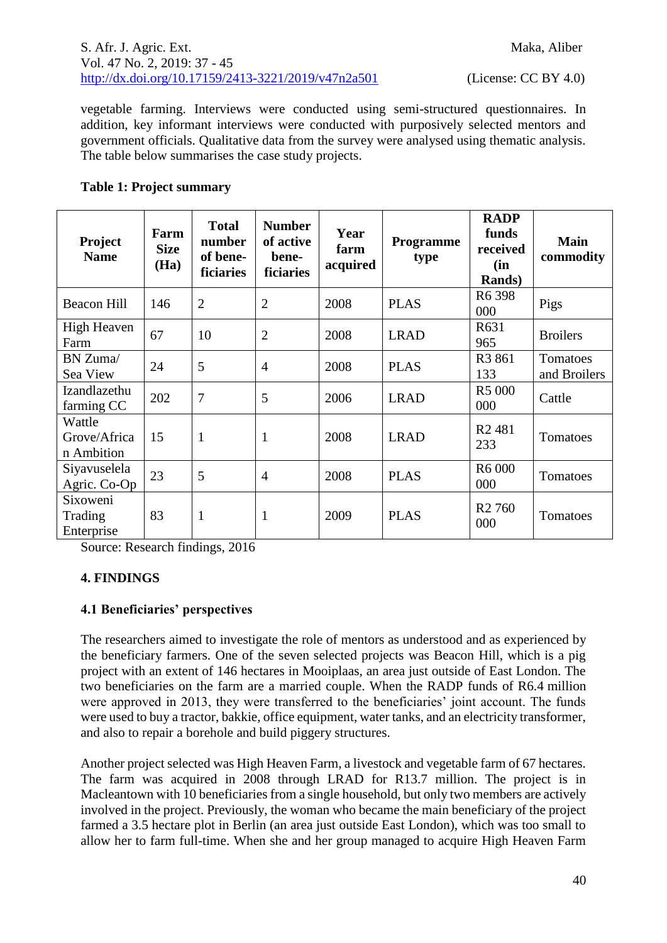vegetable farming. Interviews were conducted using semi-structured questionnaires. In addition, key informant interviews were conducted with purposively selected mentors and government officials. Qualitative data from the survey were analysed using thematic analysis. The table below summarises the case study projects.

# **Table 1: Project summary**

| Project<br><b>Name</b>               | Farm<br><b>Size</b><br>(Ha) | <b>Total</b><br>number<br>of bene-<br>ficiaries | <b>Number</b><br>of active<br>bene-<br>ficiaries | Year<br>farm<br>acquired | <b>Programme</b><br>type | <b>RADP</b><br>funds<br>received<br>(in<br><b>Rands</b> ) | <b>Main</b><br>commodity |
|--------------------------------------|-----------------------------|-------------------------------------------------|--------------------------------------------------|--------------------------|--------------------------|-----------------------------------------------------------|--------------------------|
| <b>Beacon Hill</b>                   | 146                         | $\overline{2}$                                  | $\overline{2}$                                   | 2008                     | <b>PLAS</b>              | R <sub>6</sub> 398<br>000                                 | Pigs                     |
| High Heaven<br>Farm                  | 67                          | 10                                              | $\overline{2}$                                   | 2008                     | <b>LRAD</b>              | R631<br>965                                               | <b>Broilers</b>          |
| BN Zuma/<br>Sea View                 | 24                          | 5                                               | $\overline{4}$                                   | 2008                     | <b>PLAS</b>              | R <sub>3</sub> 861<br>133                                 | Tomatoes<br>and Broilers |
| Izandlazethu<br>farming CC           | 202                         | $\overline{7}$                                  | 5                                                | 2006                     | <b>LRAD</b>              | R5 000<br>000                                             | Cattle                   |
| Wattle<br>Grove/Africa<br>n Ambition | 15                          | $\mathbf{1}$                                    | 1                                                | 2008                     | <b>LRAD</b>              | R <sub>2</sub> 481<br>233                                 | Tomatoes                 |
| Siyavuselela<br>Agric. Co-Op         | 23                          | 5                                               | $\overline{4}$                                   | 2008                     | <b>PLAS</b>              | R6 000<br>000                                             | Tomatoes                 |
| Sixoweni<br>Trading<br>Enterprise    | 83                          | $\mathbf{1}$                                    | 1                                                | 2009                     | <b>PLAS</b>              | R <sub>2</sub> 760<br>000                                 | Tomatoes                 |

Source: Research findings, 2016

# **4. FINDINGS**

# **4.1 Beneficiaries' perspectives**

The researchers aimed to investigate the role of mentors as understood and as experienced by the beneficiary farmers. One of the seven selected projects was Beacon Hill, which is a pig project with an extent of 146 hectares in Mooiplaas, an area just outside of East London. The two beneficiaries on the farm are a married couple. When the RADP funds of R6.4 million were approved in 2013, they were transferred to the beneficiaries' joint account. The funds were used to buy a tractor, bakkie, office equipment, water tanks, and an electricity transformer, and also to repair a borehole and build piggery structures.

Another project selected was High Heaven Farm, a livestock and vegetable farm of 67 hectares. The farm was acquired in 2008 through LRAD for R13.7 million. The project is in Macleantown with 10 beneficiaries from a single household, but only two members are actively involved in the project. Previously, the woman who became the main beneficiary of the project farmed a 3.5 hectare plot in Berlin (an area just outside East London), which was too small to allow her to farm full-time. When she and her group managed to acquire High Heaven Farm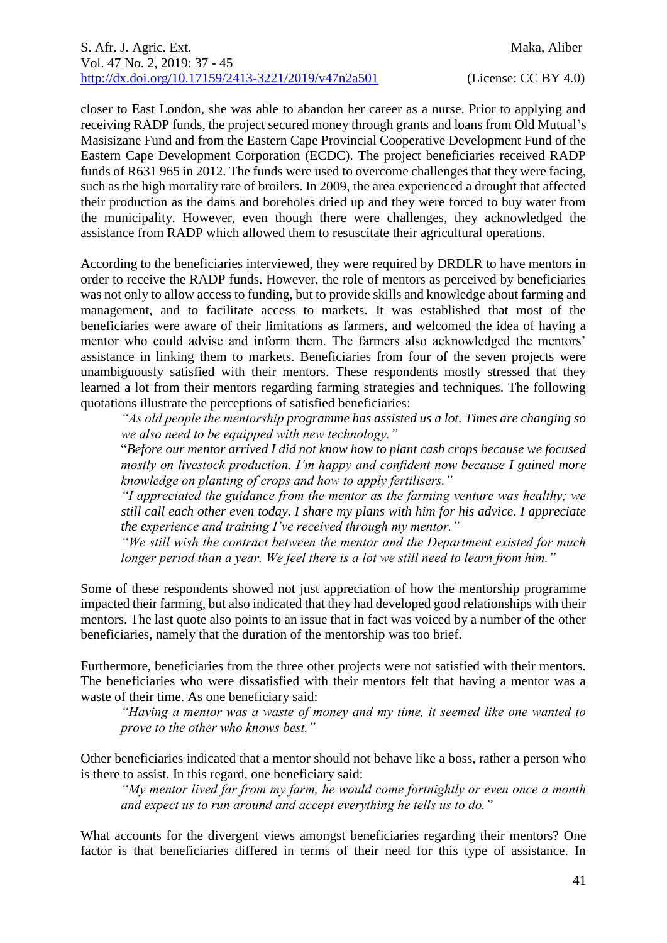closer to East London, she was able to abandon her career as a nurse. Prior to applying and receiving RADP funds, the project secured money through grants and loans from Old Mutual's Masisizane Fund and from the Eastern Cape Provincial Cooperative Development Fund of the Eastern Cape Development Corporation (ECDC). The project beneficiaries received RADP funds of R631 965 in 2012. The funds were used to overcome challenges that they were facing, such as the high mortality rate of broilers. In 2009, the area experienced a drought that affected their production as the dams and boreholes dried up and they were forced to buy water from the municipality. However, even though there were challenges, they acknowledged the assistance from RADP which allowed them to resuscitate their agricultural operations.

According to the beneficiaries interviewed, they were required by DRDLR to have mentors in order to receive the RADP funds. However, the role of mentors as perceived by beneficiaries was not only to allow access to funding, but to provide skills and knowledge about farming and management, and to facilitate access to markets. It was established that most of the beneficiaries were aware of their limitations as farmers, and welcomed the idea of having a mentor who could advise and inform them. The farmers also acknowledged the mentors' assistance in linking them to markets. Beneficiaries from four of the seven projects were unambiguously satisfied with their mentors. These respondents mostly stressed that they learned a lot from their mentors regarding farming strategies and techniques. The following quotations illustrate the perceptions of satisfied beneficiaries:

*"As old people the mentorship programme has assisted us a lot. Times are changing so we also need to be equipped with new technology."*

"*Before our mentor arrived I did not know how to plant cash crops because we focused mostly on livestock production. I'm happy and confident now because I gained more knowledge on planting of crops and how to apply fertilisers."*

*"I appreciated the guidance from the mentor as the farming venture was healthy; we still call each other even today. I share my plans with him for his advice. I appreciate the experience and training I've received through my mentor."*

*"We still wish the contract between the mentor and the Department existed for much longer period than a year. We feel there is a lot we still need to learn from him."*

Some of these respondents showed not just appreciation of how the mentorship programme impacted their farming, but also indicated that they had developed good relationships with their mentors. The last quote also points to an issue that in fact was voiced by a number of the other beneficiaries, namely that the duration of the mentorship was too brief.

Furthermore, beneficiaries from the three other projects were not satisfied with their mentors. The beneficiaries who were dissatisfied with their mentors felt that having a mentor was a waste of their time. As one beneficiary said:

*"Having a mentor was a waste of money and my time, it seemed like one wanted to prove to the other who knows best."*

Other beneficiaries indicated that a mentor should not behave like a boss, rather a person who is there to assist. In this regard, one beneficiary said:

*"My mentor lived far from my farm, he would come fortnightly or even once a month and expect us to run around and accept everything he tells us to do."*

What accounts for the divergent views amongst beneficiaries regarding their mentors? One factor is that beneficiaries differed in terms of their need for this type of assistance. In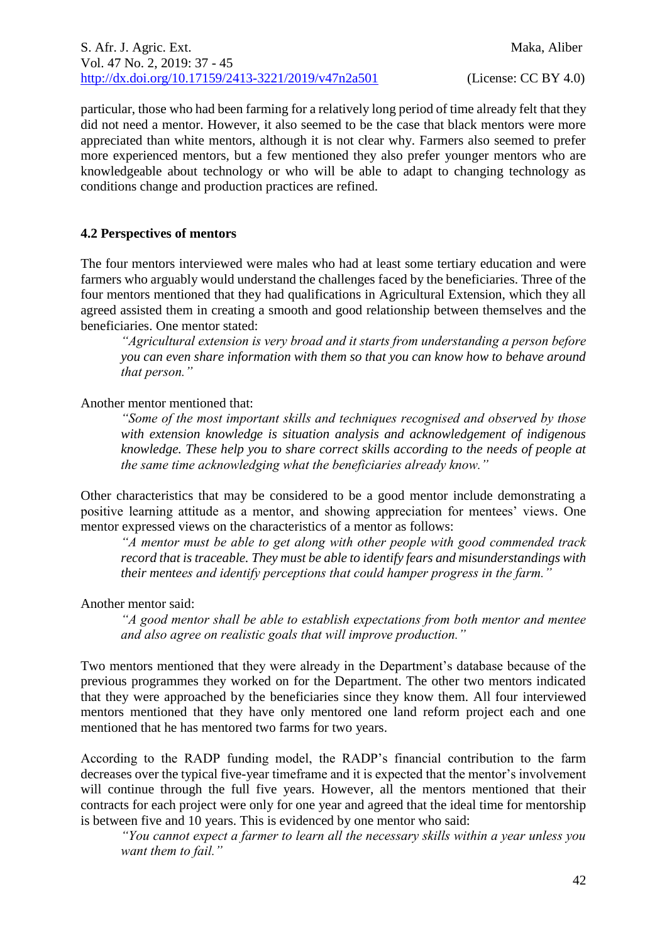particular, those who had been farming for a relatively long period of time already felt that they did not need a mentor. However, it also seemed to be the case that black mentors were more appreciated than white mentors, although it is not clear why. Farmers also seemed to prefer more experienced mentors, but a few mentioned they also prefer younger mentors who are knowledgeable about technology or who will be able to adapt to changing technology as conditions change and production practices are refined.

## **4.2 Perspectives of mentors**

The four mentors interviewed were males who had at least some tertiary education and were farmers who arguably would understand the challenges faced by the beneficiaries. Three of the four mentors mentioned that they had qualifications in Agricultural Extension, which they all agreed assisted them in creating a smooth and good relationship between themselves and the beneficiaries. One mentor stated:

*"Agricultural extension is very broad and it starts from understanding a person before you can even share information with them so that you can know how to behave around that person."*

## Another mentor mentioned that:

*"Some of the most important skills and techniques recognised and observed by those with extension knowledge is situation analysis and acknowledgement of indigenous knowledge. These help you to share correct skills according to the needs of people at the same time acknowledging what the beneficiaries already know."*

Other characteristics that may be considered to be a good mentor include demonstrating a positive learning attitude as a mentor, and showing appreciation for mentees' views. One mentor expressed views on the characteristics of a mentor as follows:

*"A mentor must be able to get along with other people with good commended track record that is traceable. They must be able to identify fears and misunderstandings with their mentees and identify perceptions that could hamper progress in the farm."*

#### Another mentor said:

*"A good mentor shall be able to establish expectations from both mentor and mentee and also agree on realistic goals that will improve production."*

Two mentors mentioned that they were already in the Department's database because of the previous programmes they worked on for the Department. The other two mentors indicated that they were approached by the beneficiaries since they know them. All four interviewed mentors mentioned that they have only mentored one land reform project each and one mentioned that he has mentored two farms for two years.

According to the RADP funding model, the RADP's financial contribution to the farm decreases over the typical five-year timeframe and it is expected that the mentor's involvement will continue through the full five years. However, all the mentors mentioned that their contracts for each project were only for one year and agreed that the ideal time for mentorship is between five and 10 years. This is evidenced by one mentor who said:

*"You cannot expect a farmer to learn all the necessary skills within a year unless you want them to fail."*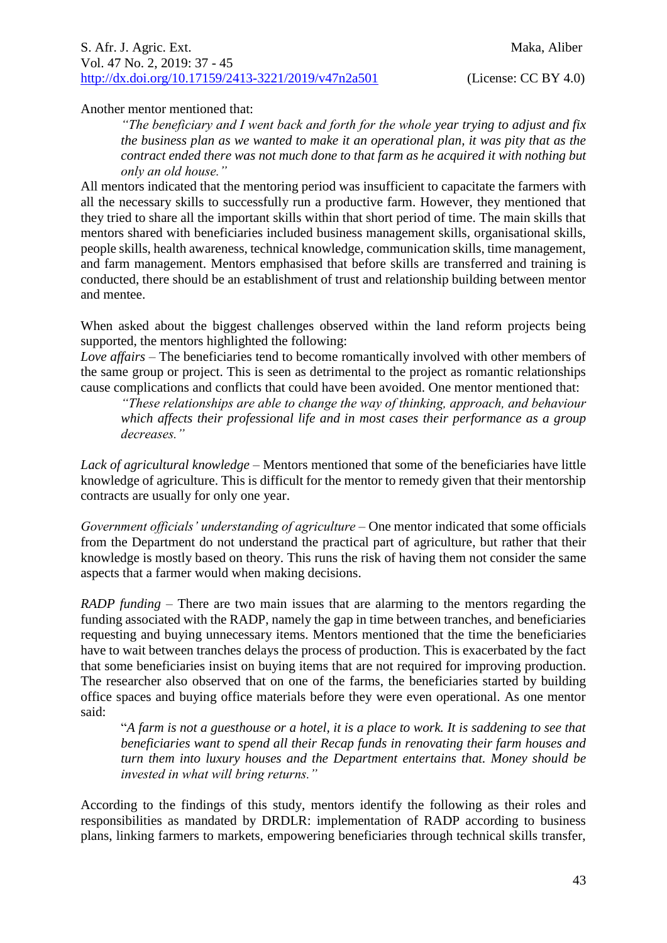Another mentor mentioned that:

*"The beneficiary and I went back and forth for the whole year trying to adjust and fix the business plan as we wanted to make it an operational plan, it was pity that as the contract ended there was not much done to that farm as he acquired it with nothing but only an old house."*

All mentors indicated that the mentoring period was insufficient to capacitate the farmers with all the necessary skills to successfully run a productive farm. However, they mentioned that they tried to share all the important skills within that short period of time. The main skills that mentors shared with beneficiaries included business management skills, organisational skills, people skills, health awareness, technical knowledge, communication skills, time management, and farm management. Mentors emphasised that before skills are transferred and training is conducted, there should be an establishment of trust and relationship building between mentor and mentee.

When asked about the biggest challenges observed within the land reform projects being supported, the mentors highlighted the following:

*Love affairs* – The beneficiaries tend to become romantically involved with other members of the same group or project. This is seen as detrimental to the project as romantic relationships cause complications and conflicts that could have been avoided. One mentor mentioned that:

*"These relationships are able to change the way of thinking, approach, and behaviour which affects their professional life and in most cases their performance as a group decreases."*

*Lack of agricultural knowledge* – Mentors mentioned that some of the beneficiaries have little knowledge of agriculture. This is difficult for the mentor to remedy given that their mentorship contracts are usually for only one year.

*Government officials' understanding of agriculture* – One mentor indicated that some officials from the Department do not understand the practical part of agriculture, but rather that their knowledge is mostly based on theory. This runs the risk of having them not consider the same aspects that a farmer would when making decisions.

*RADP funding* – There are two main issues that are alarming to the mentors regarding the funding associated with the RADP, namely the gap in time between tranches, and beneficiaries requesting and buying unnecessary items. Mentors mentioned that the time the beneficiaries have to wait between tranches delays the process of production. This is exacerbated by the fact that some beneficiaries insist on buying items that are not required for improving production. The researcher also observed that on one of the farms, the beneficiaries started by building office spaces and buying office materials before they were even operational. As one mentor said:

"*A farm is not a guesthouse or a hotel, it is a place to work. It is saddening to see that beneficiaries want to spend all their Recap funds in renovating their farm houses and turn them into luxury houses and the Department entertains that. Money should be invested in what will bring returns."* 

According to the findings of this study, mentors identify the following as their roles and responsibilities as mandated by DRDLR: implementation of RADP according to business plans, linking farmers to markets, empowering beneficiaries through technical skills transfer,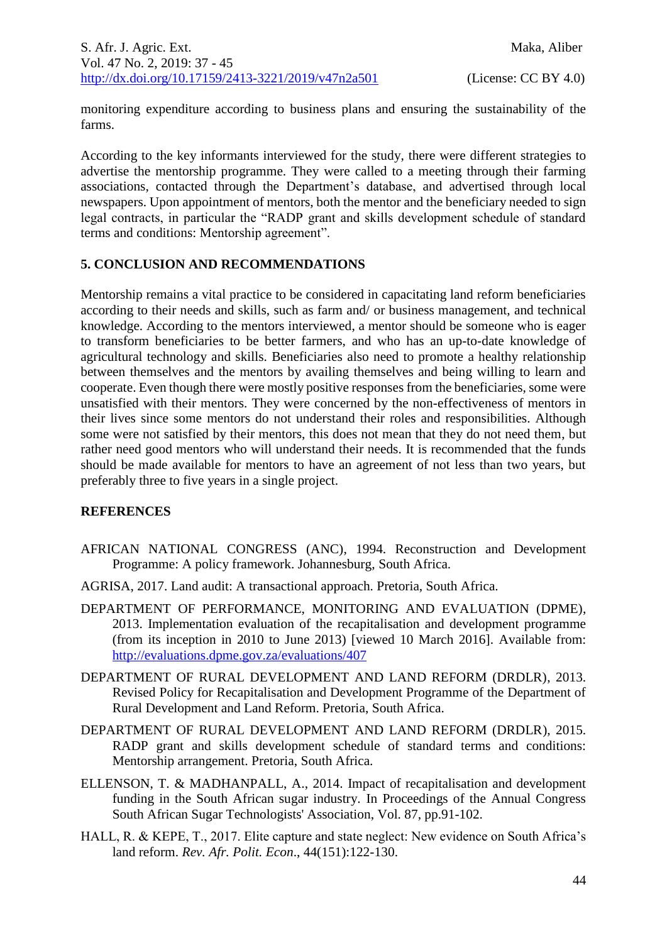monitoring expenditure according to business plans and ensuring the sustainability of the farms.

According to the key informants interviewed for the study, there were different strategies to advertise the mentorship programme. They were called to a meeting through their farming associations, contacted through the Department's database, and advertised through local newspapers. Upon appointment of mentors, both the mentor and the beneficiary needed to sign legal contracts, in particular the "RADP grant and skills development schedule of standard terms and conditions: Mentorship agreement".

## **5. CONCLUSION AND RECOMMENDATIONS**

Mentorship remains a vital practice to be considered in capacitating land reform beneficiaries according to their needs and skills, such as farm and/ or business management, and technical knowledge. According to the mentors interviewed, a mentor should be someone who is eager to transform beneficiaries to be better farmers, and who has an up-to-date knowledge of agricultural technology and skills. Beneficiaries also need to promote a healthy relationship between themselves and the mentors by availing themselves and being willing to learn and cooperate. Even though there were mostly positive responses from the beneficiaries, some were unsatisfied with their mentors. They were concerned by the non-effectiveness of mentors in their lives since some mentors do not understand their roles and responsibilities. Although some were not satisfied by their mentors, this does not mean that they do not need them, but rather need good mentors who will understand their needs. It is recommended that the funds should be made available for mentors to have an agreement of not less than two years, but preferably three to five years in a single project.

## **REFERENCES**

- AFRICAN NATIONAL CONGRESS (ANC), 1994. Reconstruction and Development Programme: A policy framework. Johannesburg, South Africa.
- AGRISA, 2017. Land audit: A transactional approach. Pretoria, South Africa.
- DEPARTMENT OF PERFORMANCE, MONITORING AND EVALUATION (DPME), 2013. Implementation evaluation of the recapitalisation and development programme (from its inception in 2010 to June 2013) [viewed 10 March 2016]. Available from: <http://evaluations.dpme.gov.za/evaluations/407>
- DEPARTMENT OF RURAL DEVELOPMENT AND LAND REFORM (DRDLR), 2013. Revised Policy for Recapitalisation and Development Programme of the Department of Rural Development and Land Reform. Pretoria, South Africa.
- DEPARTMENT OF RURAL DEVELOPMENT AND LAND REFORM (DRDLR), 2015. RADP grant and skills development schedule of standard terms and conditions: Mentorship arrangement. Pretoria, South Africa.
- ELLENSON, T. & MADHANPALL, A., 2014. Impact of recapitalisation and development funding in the South African sugar industry. In Proceedings of the Annual Congress South African Sugar Technologists' Association, Vol. 87, pp.91-102.
- HALL, R. & KEPE, T., 2017. Elite capture and state neglect: New evidence on South Africa's land reform. *Rev. Afr. Polit. Econ*., 44(151):122-130.